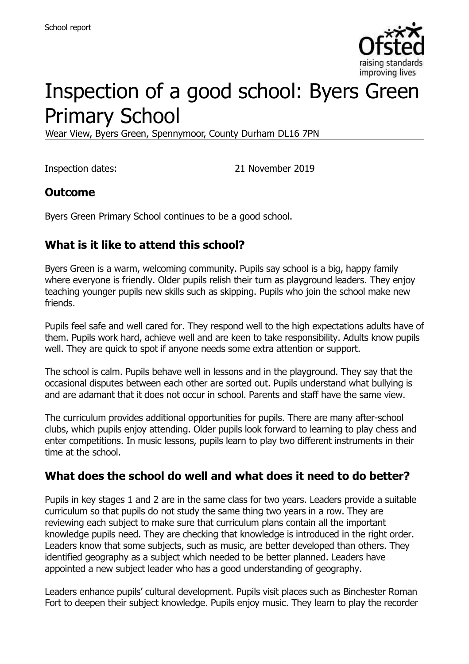

# Inspection of a good school: Byers Green Primary School

Wear View, Byers Green, Spennymoor, County Durham DL16 7PN

Inspection dates: 21 November 2019

#### **Outcome**

Byers Green Primary School continues to be a good school.

## **What is it like to attend this school?**

Byers Green is a warm, welcoming community. Pupils say school is a big, happy family where everyone is friendly. Older pupils relish their turn as playground leaders. They enjoy teaching younger pupils new skills such as skipping. Pupils who join the school make new friends.

Pupils feel safe and well cared for. They respond well to the high expectations adults have of them. Pupils work hard, achieve well and are keen to take responsibility. Adults know pupils well. They are quick to spot if anyone needs some extra attention or support.

The school is calm. Pupils behave well in lessons and in the playground. They say that the occasional disputes between each other are sorted out. Pupils understand what bullying is and are adamant that it does not occur in school. Parents and staff have the same view.

The curriculum provides additional opportunities for pupils. There are many after-school clubs, which pupils enjoy attending. Older pupils look forward to learning to play chess and enter competitions. In music lessons, pupils learn to play two different instruments in their time at the school.

### **What does the school do well and what does it need to do better?**

Pupils in key stages 1 and 2 are in the same class for two years. Leaders provide a suitable curriculum so that pupils do not study the same thing two years in a row. They are reviewing each subject to make sure that curriculum plans contain all the important knowledge pupils need. They are checking that knowledge is introduced in the right order. Leaders know that some subjects, such as music, are better developed than others. They identified geography as a subject which needed to be better planned. Leaders have appointed a new subject leader who has a good understanding of geography.

Leaders enhance pupils' cultural development. Pupils visit places such as Binchester Roman Fort to deepen their subject knowledge. Pupils enjoy music. They learn to play the recorder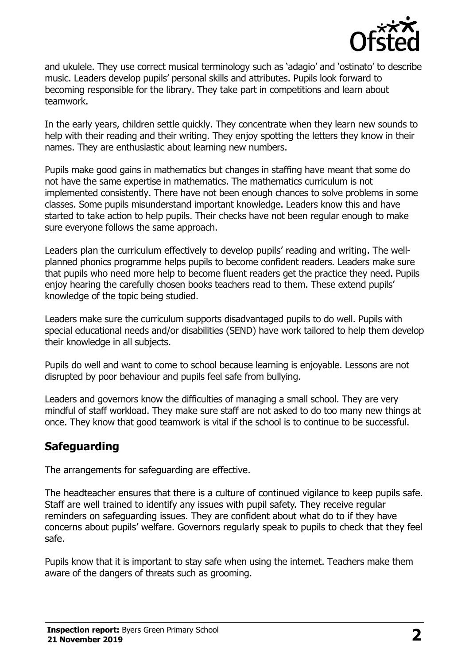

and ukulele. They use correct musical terminology such as 'adagio' and 'ostinato' to describe music. Leaders develop pupils' personal skills and attributes. Pupils look forward to becoming responsible for the library. They take part in competitions and learn about teamwork.

In the early years, children settle quickly. They concentrate when they learn new sounds to help with their reading and their writing. They enjoy spotting the letters they know in their names. They are enthusiastic about learning new numbers.

Pupils make good gains in mathematics but changes in staffing have meant that some do not have the same expertise in mathematics. The mathematics curriculum is not implemented consistently. There have not been enough chances to solve problems in some classes. Some pupils misunderstand important knowledge. Leaders know this and have started to take action to help pupils. Their checks have not been regular enough to make sure everyone follows the same approach.

Leaders plan the curriculum effectively to develop pupils' reading and writing. The wellplanned phonics programme helps pupils to become confident readers. Leaders make sure that pupils who need more help to become fluent readers get the practice they need. Pupils enjoy hearing the carefully chosen books teachers read to them. These extend pupils' knowledge of the topic being studied.

Leaders make sure the curriculum supports disadvantaged pupils to do well. Pupils with special educational needs and/or disabilities (SEND) have work tailored to help them develop their knowledge in all subjects.

Pupils do well and want to come to school because learning is enjoyable. Lessons are not disrupted by poor behaviour and pupils feel safe from bullying.

Leaders and governors know the difficulties of managing a small school. They are very mindful of staff workload. They make sure staff are not asked to do too many new things at once. They know that good teamwork is vital if the school is to continue to be successful.

# **Safeguarding**

The arrangements for safeguarding are effective.

The headteacher ensures that there is a culture of continued vigilance to keep pupils safe. Staff are well trained to identify any issues with pupil safety. They receive regular reminders on safeguarding issues. They are confident about what do to if they have concerns about pupils' welfare. Governors regularly speak to pupils to check that they feel safe.

Pupils know that it is important to stay safe when using the internet. Teachers make them aware of the dangers of threats such as grooming.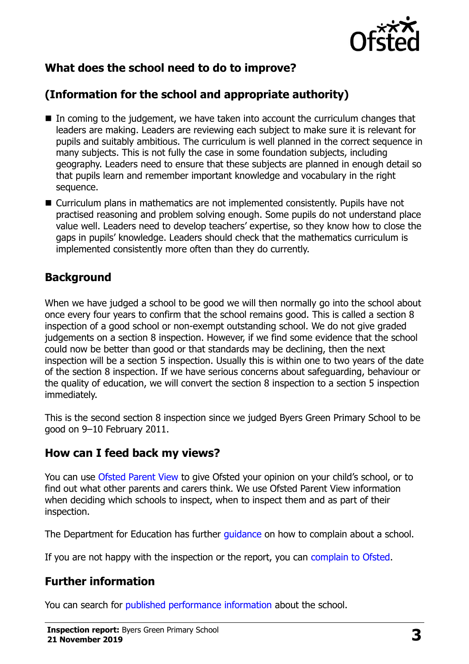

# **What does the school need to do to improve?**

# **(Information for the school and appropriate authority)**

- In coming to the judgement, we have taken into account the curriculum changes that leaders are making. Leaders are reviewing each subject to make sure it is relevant for pupils and suitably ambitious. The curriculum is well planned in the correct sequence in many subjects. This is not fully the case in some foundation subjects, including geography. Leaders need to ensure that these subjects are planned in enough detail so that pupils learn and remember important knowledge and vocabulary in the right sequence.
- Curriculum plans in mathematics are not implemented consistently. Pupils have not practised reasoning and problem solving enough. Some pupils do not understand place value well. Leaders need to develop teachers' expertise, so they know how to close the gaps in pupils' knowledge. Leaders should check that the mathematics curriculum is implemented consistently more often than they do currently.

## **Background**

When we have judged a school to be good we will then normally go into the school about once every four years to confirm that the school remains good. This is called a section 8 inspection of a good school or non-exempt outstanding school. We do not give graded judgements on a section 8 inspection. However, if we find some evidence that the school could now be better than good or that standards may be declining, then the next inspection will be a section 5 inspection. Usually this is within one to two years of the date of the section 8 inspection. If we have serious concerns about safeguarding, behaviour or the quality of education, we will convert the section 8 inspection to a section 5 inspection immediately.

This is the second section 8 inspection since we judged Byers Green Primary School to be good on 9–10 February 2011.

### **How can I feed back my views?**

You can use [Ofsted Parent View](https://parentview.ofsted.gov.uk/) to give Ofsted your opinion on your child's school, or to find out what other parents and carers think. We use Ofsted Parent View information when deciding which schools to inspect, when to inspect them and as part of their inspection.

The Department for Education has further quidance on how to complain about a school.

If you are not happy with the inspection or the report, you can [complain to Ofsted.](https://www.gov.uk/complain-ofsted-report)

### **Further information**

You can search for [published performance information](http://www.compare-school-performance.service.gov.uk/) about the school.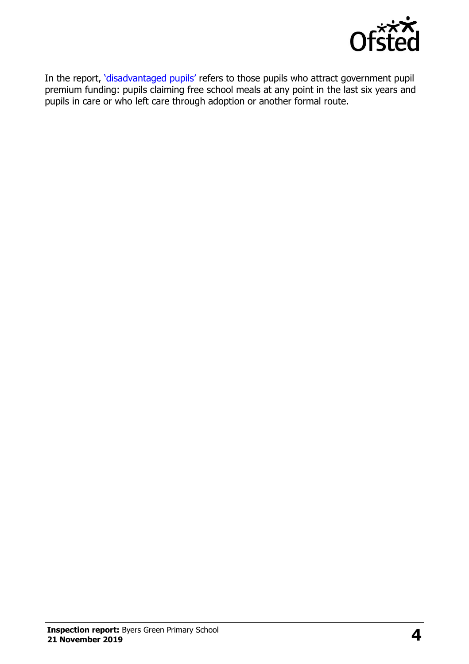

In the report, '[disadvantaged pupils](http://www.gov.uk/guidance/pupil-premium-information-for-schools-and-alternative-provision-settings)' refers to those pupils who attract government pupil premium funding: pupils claiming free school meals at any point in the last six years and pupils in care or who left care through adoption or another formal route.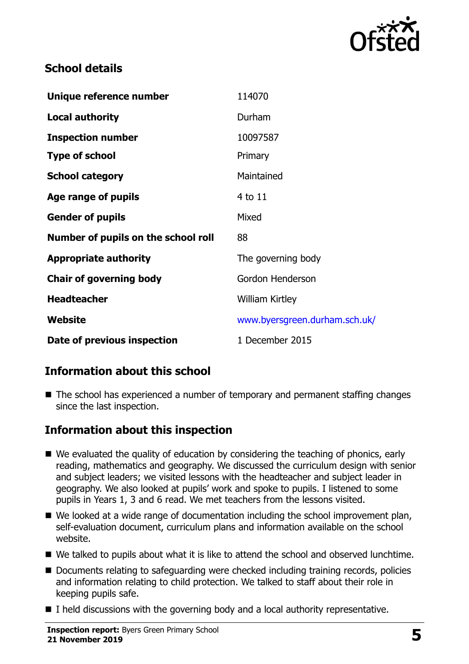

## **School details**

| Unique reference number             | 114070                        |
|-------------------------------------|-------------------------------|
| <b>Local authority</b>              | Durham                        |
| <b>Inspection number</b>            | 10097587                      |
| <b>Type of school</b>               | Primary                       |
| <b>School category</b>              | Maintained                    |
| Age range of pupils                 | 4 to 11                       |
| <b>Gender of pupils</b>             | Mixed                         |
| Number of pupils on the school roll | 88                            |
| <b>Appropriate authority</b>        | The governing body            |
| <b>Chair of governing body</b>      | Gordon Henderson              |
| <b>Headteacher</b>                  | <b>William Kirtley</b>        |
| Website                             | www.byersgreen.durham.sch.uk/ |
| Date of previous inspection         | 1 December 2015               |

# **Information about this school**

■ The school has experienced a number of temporary and permanent staffing changes since the last inspection.

### **Information about this inspection**

- We evaluated the quality of education by considering the teaching of phonics, early reading, mathematics and geography. We discussed the curriculum design with senior and subject leaders; we visited lessons with the headteacher and subject leader in geography. We also looked at pupils' work and spoke to pupils. I listened to some pupils in Years 1, 3 and 6 read. We met teachers from the lessons visited.
- We looked at a wide range of documentation including the school improvement plan, self-evaluation document, curriculum plans and information available on the school website.
- We talked to pupils about what it is like to attend the school and observed lunchtime.
- Documents relating to safeguarding were checked including training records, policies and information relating to child protection. We talked to staff about their role in keeping pupils safe.
- I held discussions with the governing body and a local authority representative.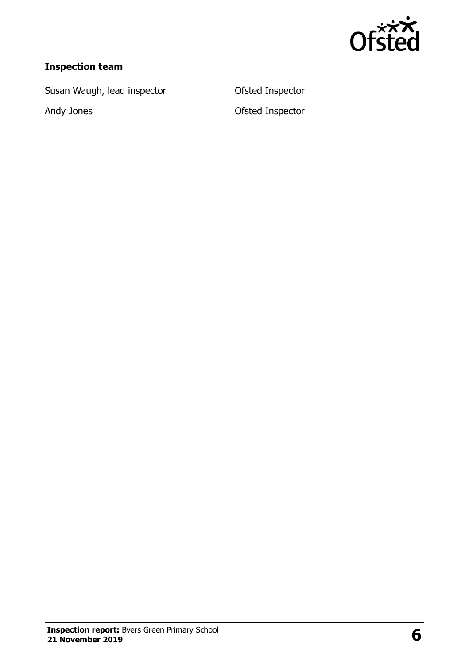

# **Inspection team**

Susan Waugh, lead inspector **CEP CONTER CONTER** Ofsted Inspector

Andy Jones Ofsted Inspector